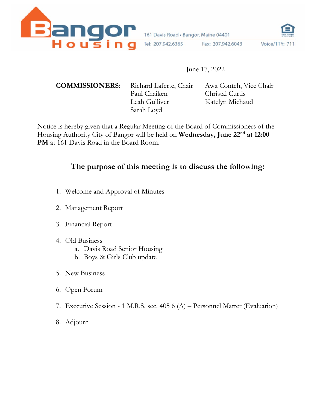

161 Davis Road · Bangor, Maine 04401

Fax: 207.942.6043

Voice/TTY: 711

## June 17, 2022

Paul Chaiken Christal Curtis Leah Gulliver Katelyn Michaud Sarah Loyd

Tel: 207.942.6365

**COMMISSIONERS:** Richard Laferte, Chair Awa Conteh, Vice Chair

Notice is hereby given that a Regular Meeting of the Board of Commissioners of the Housing Authority City of Bangor will be held on **Wednesday, June 22nd at 12:00 PM** at 161 Davis Road in the Board Room.

## **The purpose of this meeting is to discuss the following:**

- 1. Welcome and Approval of Minutes
- 2. Management Report
- 3. Financial Report
- 4. Old Business
	- a. Davis Road Senior Housing
	- b. Boys & Girls Club update
- 5. New Business
- 6. Open Forum
- 7. Executive Session 1 M.R.S. sec. 405 6 (A) Personnel Matter (Evaluation)
- 8. Adjourn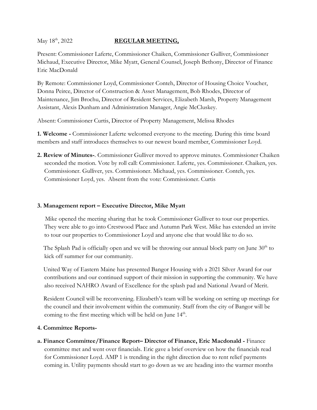#### May 18<sup>th</sup>, 2022 **REGULAR MEETING,**

Present: Commissioner Laferte, Commissioner Chaiken, Commissioner Gulliver, Commissioner Michaud, Executive Director, Mike Myatt, General Counsel, Joseph Bethony, Director of Finance Eric MacDonald

By Remote: Commissioner Loyd, Commissioner Conteh, Director of Housing Choice Voucher, Donna Peirce, Director of Construction & Asset Management, Bob Rhodes, Director of Maintenance, Jim Brochu, Director of Resident Services, Elizabeth Marsh, Property Management Assistant, Alexis Dunham and Administration Manager, Angie McCluskey.

Absent: Commissioner Curtis, Director of Property Management, Melissa Rhodes

**1. Welcome -** Commissioner Laferte welcomed everyone to the meeting. During this time board members and staff introduces themselves to our newest board member, Commissioner Loyd.

**2. Review of Minutes-**. Commissioner Gulliver moved to approve minutes. Commissioner Chaiken seconded the motion. Vote by roll call: Commissioner. Laferte, yes. Commissioner. Chaiken, yes. Commissioner. Gulliver, yes. Commissioner. Michaud, yes. Commissioner. Conteh, yes. Commissioner Loyd, yes. Absent from the vote: Commissioner. Curtis

#### **3. Management report – Executive Director, Mike Myatt**

 Mike opened the meeting sharing that he took Commissioner Gulliver to tour our properties. They were able to go into Crestwood Place and Autumn Park West. Mike has extended an invite to tour our properties to Commissioner Loyd and anyone else that would like to do so.

The Splash Pad is officially open and we will be throwing our annual block party on June  $30<sup>th</sup>$  to kick off summer for our community.

 United Way of Eastern Maine has presented Bangor Housing with a 2021 Silver Award for our contributions and our continued support of their mission in supporting the community. We have also received NAHRO Award of Excellence for the splash pad and National Award of Merit.

 Resident Council will be reconvening. Elizabeth's team will be working on setting up meetings for the council and their involvement within the community. Staff from the city of Bangor will be coming to the first meeting which will be held on June 14<sup>th</sup>.

#### **4. Committee Reports-**

**a. Finance Committee/Finance Report– Director of Finance, Eric Macdonald -** Finance committee met and went over financials. Eric gave a brief overview on how the financials read for Commissioner Loyd. AMP 1 is trending in the right direction due to rent relief payments coming in. Utility payments should start to go down as we are heading into the warmer months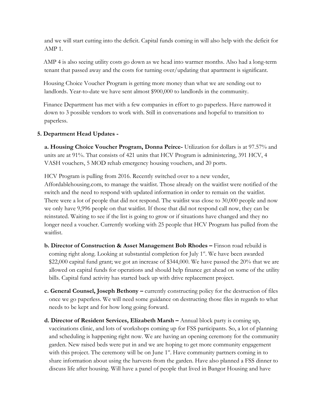and we will start cutting into the deficit. Capital funds coming in will also help with the deficit for AMP 1.

AMP 4 is also seeing utility costs go down as we head into warmer months. Also had a long-term tenant that passed away and the costs for turning over/updating that apartment is significant.

 Housing Choice Voucher Program is getting more money than what we are sending out to landlords. Year-to-date we have sent almost \$900,000 to landlords in the community.

 Finance Department has met with a few companies in effort to go paperless. Have narrowed it down to 3 possible vendors to work with. Still in conversations and hopeful to transition to paperless.

#### **5. Department Head Updates -**

**a. Housing Choice Voucher Program, Donna Peirce-** Utilization for dollars is at 97.57% and units are at 91%. That consists of 421 units that HCV Program is administering, 391 HCV, 4 VASH vouchers, 5 MOD rehab emergency housing vouchers, and 20 ports.

HCV Program is pulling from 2016. Recently switched over to a new vender, Affordablehousing.com, to manage the waitlist. Those already on the waitlist were notified of the switch and the need to respond with updated information in order to remain on the waitlist. There were a lot of people that did not respond. The waitlist was close to 30,000 people and now we only have 9,996 people on that waitlist. If those that did not respond call now, they can be reinstated. Waiting to see if the list is going to grow or if situations have changed and they no longer need a voucher. Currently working with 25 people that HCV Program has pulled from the waitlist.

- **b. Director of Construction & Asset Management Bob Rhodes –** Finson road rebuild is coming right along. Looking at substantial completion for July  $1<sup>st</sup>$ . We have been awarded \$22,000 capital fund grant; we got an increase of \$344,000. We have passed the 20% that we are allowed on capital funds for operations and should help finance get ahead on some of the utility bills. Capital fund activity has started back up with drive replacement project.
- **c. General Counsel, Joseph Bethony –** currently constructing policy for the destruction of files once we go paperless. We will need some guidance on destructing those files in regards to what needs to be kept and for how long going forward.
- **d. Director of Resident Services, Elizabeth Marsh –** Annual block party is coming up, vaccinations clinic, and lots of workshops coming up for FSS participants. So, a lot of planning and scheduling is happening right now. We are having an opening ceremony for the community garden. New raised beds were put in and we are hoping to get more community engagement with this project. The ceremony will be on June 1<sup>st</sup>. Have community partners coming in to share information about using the harvests from the garden. Have also planned a FSS dinner to discuss life after housing. Will have a panel of people that lived in Bangor Housing and have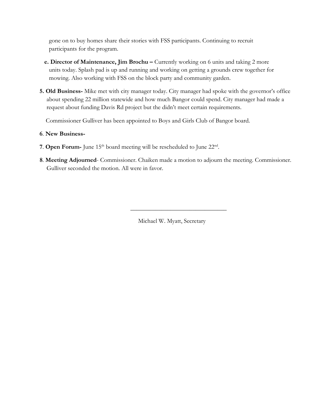gone on to buy homes share their stories with FSS participants. Continuing to recruit participants for the program.

- **e. Director of Maintenance, Jim Brochu –** Currently working on 6 units and taking 2 more units today. Splash pad is up and running and working on getting a grounds crew together for mowing. Also working with FSS on the block party and community garden.
- **5. Old Business-** Mike met with city manager today. City manager had spoke with the governor's office about spending 22 million statewide and how much Bangor could spend. City manager had made a request about funding Davis Rd project but the didn't meet certain requirements.

Commissioner Gulliver has been appointed to Boys and Girls Club of Bangor board.

#### **6**. **New Business-**

- **7. Open Forum-** June 15<sup>th</sup> board meeting will be rescheduled to June 22<sup>nd</sup>.
- **8**. **Meeting Adjourned** Commissioner. Chaiken made a motion to adjourn the meeting. Commissioner. Gulliver seconded the motion. All were in favor.

Michael W. Myatt, Secretary

 $\overline{\phantom{a}}$  ,  $\overline{\phantom{a}}$  ,  $\overline{\phantom{a}}$  ,  $\overline{\phantom{a}}$  ,  $\overline{\phantom{a}}$  ,  $\overline{\phantom{a}}$  ,  $\overline{\phantom{a}}$  ,  $\overline{\phantom{a}}$  ,  $\overline{\phantom{a}}$  ,  $\overline{\phantom{a}}$  ,  $\overline{\phantom{a}}$  ,  $\overline{\phantom{a}}$  ,  $\overline{\phantom{a}}$  ,  $\overline{\phantom{a}}$  ,  $\overline{\phantom{a}}$  ,  $\overline{\phantom{a}}$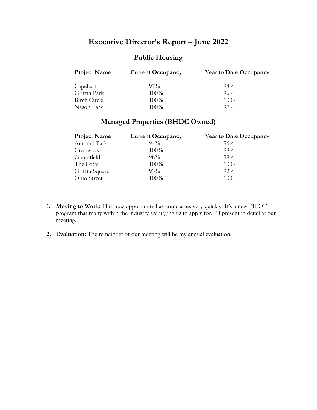## **Executive Director's Report – June 2022**

## **Public Housing**

| <b>Project Name</b> | <b>Current Occupancy</b> | <b>Year to Date Occupancy</b> |
|---------------------|--------------------------|-------------------------------|
| Capehart            | $97\%$                   | $98\%$                        |
| Griffin Park        | $100\%$                  | 96%                           |
| Birch Circle        | $100\%$                  | 100%                          |
| Nason Park          | $100\%$                  | $97\%$                        |

## **Managed Properties (BHDC Owned)**

| <b>Project Name</b> | <b>Current Occupancy</b> | <b>Year to Date Occupancy</b> |
|---------------------|--------------------------|-------------------------------|
| Autumn Park         | $94\%$                   | 96%                           |
| Crestwood           | 100%                     | $99\%$                        |
| Greenfield          | $98\%$                   | 99%                           |
| The Lofts           | 100%                     | 100%                          |
| Griffin Square      | 93%                      | $92\%$                        |
| Ohio Street         | 100%                     | 100%                          |

- **1. Moving to Work:** This new opportunity has come at us very quickly. It's a new PILOT program that many within the industry are urging us to apply for. I'll present in detail at our meeting.
- **2. Evaluation:** The remainder of our meeting will be my annual evaluation.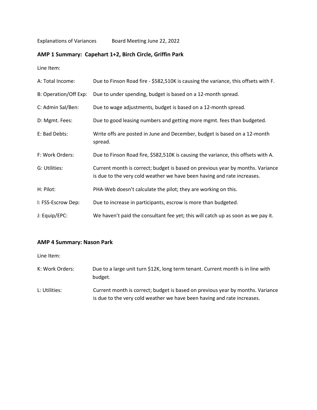#### **AMP 1 Summary: Capehart 1+2, Birch Circle, Griffin Park**

Line Item:

| A: Total Income:      | Due to Finson Road fire - \$582,510K is causing the variance, this offsets with F.                                                                        |
|-----------------------|-----------------------------------------------------------------------------------------------------------------------------------------------------------|
| B: Operation/Off Exp: | Due to under spending, budget is based on a 12-month spread.                                                                                              |
| C: Admin Sal/Ben:     | Due to wage adjustments, budget is based on a 12-month spread.                                                                                            |
| D: Mgmt. Fees:        | Due to good leasing numbers and getting more mgmt. fees than budgeted.                                                                                    |
| E: Bad Debts:         | Write offs are posted in June and December, budget is based on a 12-month<br>spread.                                                                      |
| F: Work Orders:       | Due to Finson Road fire, \$582,510K is causing the variance, this offsets with A.                                                                         |
| G: Utilities:         | Current month is correct; budget is based on previous year by months. Variance<br>is due to the very cold weather we have been having and rate increases. |
| H: Pilot:             | PHA-Web doesn't calculate the pilot; they are working on this.                                                                                            |
| I: FSS-Escrow Dep:    | Due to increase in participants, escrow is more than budgeted.                                                                                            |
| J: Equip/EPC:         | We haven't paid the consultant fee yet; this will catch up as soon as we pay it.                                                                          |

#### **AMP 4 Summary: Nason Park**

Line Item:

- K: Work Orders: Due to a large unit turn \$12K, long term tenant. Current month is in line with budget.
- L: Utilities: Current month is correct; budget is based on previous year by months. Variance is due to the very cold weather we have been having and rate increases.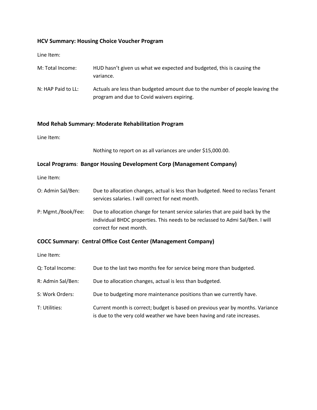#### **HCV Summary: Housing Choice Voucher Program**

Line Item:

| M: Total Income:   | HUD hasn't given us what we expected and budgeted, this is causing the<br>variance.                                         |
|--------------------|-----------------------------------------------------------------------------------------------------------------------------|
| N: HAP Paid to LL: | Actuals are less than budgeted amount due to the number of people leaving the<br>program and due to Covid waivers expiring. |

#### **Mod Rehab Summary: Moderate Rehabilitation Program**

Line Item:

Nothing to report on as all variances are under \$15,000.00.

#### **Local Programs**: **Bangor Housing Development Corp (Management Company)**

Line Item:

| O: Admin Sal/Ben:  | Due to allocation changes, actual is less than budgeted. Need to reclass Tenant<br>services salaries. I will correct for next month.                                                        |
|--------------------|---------------------------------------------------------------------------------------------------------------------------------------------------------------------------------------------|
| P: Mgmt./Book/Fee: | Due to allocation change for tenant service salaries that are paid back by the<br>individual BHDC properties. This needs to be reclassed to Admi Sal/Ben. I will<br>correct for next month. |

#### **COCC Summary: Central Office Cost Center (Management Company)**

Line Item:

| Q: Total Income:  | Due to the last two months fee for service being more than budgeted.                                                                                      |
|-------------------|-----------------------------------------------------------------------------------------------------------------------------------------------------------|
| R: Admin Sal/Ben: | Due to allocation changes, actual is less than budgeted.                                                                                                  |
| S: Work Orders:   | Due to budgeting more maintenance positions than we currently have.                                                                                       |
| T: Utilities:     | Current month is correct; budget is based on previous year by months. Variance<br>is due to the very cold weather we have been having and rate increases. |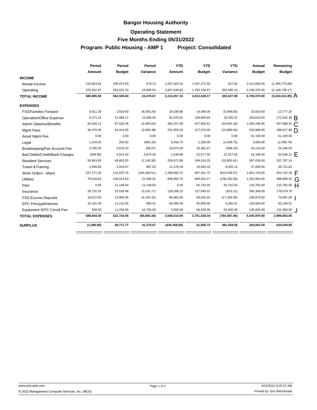#### **Operating Statement**

#### **Five Months Ending 05/31/2022**

Program: Public Housing - AMP 1 Project: Consolidated

|                                 | Period     | Period        | Period        | <b>YTD</b>    | <b>YTD</b>    | <b>YTD</b>    | Annual        | Remaining              |  |
|---------------------------------|------------|---------------|---------------|---------------|---------------|---------------|---------------|------------------------|--|
|                                 | Amount     | <b>Budget</b> | Variance      | Amount        | <b>Budget</b> | Variance      | <b>Budget</b> | <b>Budget</b>          |  |
| <b>INCOME</b>                   |            |               |               |               |               |               |               |                        |  |
| Rental Income                   | 210,053.63 | 209,474.50    | 579.13        | 1,047,920.32  | 1,047,372.50  | 547.82        | 2,513,694.00  | (1,465,773.68)         |  |
| Operating                       | 376,931.87 | 353,031.33    | 23,900.54     | 2,067,636.83  | 1,765,156.67  | 302,480.16    | 4,236,376.00  | (2, 168, 739.17)       |  |
| <b>TOTAL INCOME</b>             | 586,985.50 | 562,505.83    | 24,479.67     | 3,115,557.15  | 2,812,529.17  | 303,027.98    | 6,750,070.00  | $(3,634,512.85)$ A     |  |
| <b>EXPENSES</b>                 |            |               |               |               |               |               |               |                        |  |
| <b>FSS/Families Forward</b>     | 8,911.29   | 2,818.00      | (6,093.29)    | 20,038.80     | 14,090.00     | (5,948.80)    | 33,816.00     | 13,777.20              |  |
| <b>Operation/Office Expense</b> | 9,371.22   | 21,968.17     | 12,596.95     | 91,075.61     | 109,840.83    | 18,765.22     | 263,618.00    | 172,542.39 B           |  |
| <b>Admin Salaries/Benefits</b>  | 92,016.13  | 87,520.49     | (4,495.64)    | 482,257.69    | 437,602.51    | (44, 655.18)  | 1,050,246.00  | 567,988.31             |  |
| Mgmt Fees                       | 46,479.38  | 43,414.00     | (3,065.38)    | 232,950.04    | 217,070.00    | (15,880.04)   | 520,968.00    | 288,017.96             |  |
| Asset Mgmt Fee                  | 0.00       | 0.00          | 0.00          | 0.00          | 0.00          | 0.00          | 61,100.00     | 61,100.00              |  |
| Legal                           | 1,243.20   | 250.00        | (993.20)      | 5,458.75      | 1,250.00      | (4,208.75)    | 3,000.00      | (2,458.75)             |  |
| Bookkeeping/Fee Account Fee     | 3,765.00   | 3,676.33      | (88.67)       | 18,870.00     | 18,381.67     | (488.33)      | 44,116.00     | 25,246.00              |  |
| Bad Debts/Credit/Bank Charges   | (358.90)   | 4,515.50      | 4,874.40      | 1,549.88      | 22,577.50     | 21,027.62     | 54,186.00     | 52,636.12 $\mathsf{F}$ |  |
| <b>Resident Services</b>        | 50,943.60  | 49,803.25     | (1, 140.35)   | 259,871.86    | 249,016.25    | (10, 855.61)  | 597,639.00    | 337,767.14             |  |
| <b>Travel &amp; Training</b>    | 2,949.65   | 3,916.67      | 967.02        | 11,278.19     | 19,583.33     | 8,305.14      | 47,000.00     | 35,721.81              |  |
| Work Orders - Maint             | 237,271.26 | 131,870.75    | (105, 400.51) | 1,308,000.72  | 697,461.75    | (610, 538.97) | 1,661,743.00  | 353,742.28 F           |  |
| <b>Utilities</b>                | 78,518.82  | 100,014.83    | 21,496.01     | 846,064.75    | 609,824.17    | (236, 240.58) | 1,332,954.00  | 486,889.25 $\bigcap$   |  |
| Pilot                           | 0.00       | 11,148.50     | 11,148.50     | 0.00          | 55,742.50     | 55,742.50     | 133,782.00    | 133,782.00 H           |  |
| Insurance                       | 28,720.16  | 25,528.99     | (3, 191.17)   | 128,268.22    | 127,645.01    | (623.21)      | 306,348.00    | 178,079.78             |  |
| <b>FSS-Escrow Deposits</b>      | 18,072.00  | 13,906.58     | (4, 165.42)   | 86,882.00     | 69,532.92     | (17, 349.08)  | 166,879.00    | 79,997.00              |  |
| <b>EPC Principal/Interest</b>   | 10,181.59  | 11,132.00     | 950.41        | 50,399.49     | 55,660.00     | 5,260.51      | 133,584.00    | 83,184.51              |  |
| Equipment /EPC Conslt Fee       | 500.00     | 11,250.00     | 10,750.00     | 3,050.00      | 56,250.00     | 53,200.00     | 135,000.00    | 131,950.00 J           |  |
| <b>TOTAL EXPENSES</b>           | 588,584.40 | 522,734.06    | (65, 850.34)  | 3,546,016.00  | 2,761,528.44  | (784, 487.56) | 6,545,979.00  | 2,999,963.00           |  |
| <b>SURPLUS</b>                  | (1,598.90) | 39,771.77     | 41,370.67     | (430, 458.85) | 51,000.73     | 481,459.58    | 204,091.00    | 634,549.85             |  |
|                                 |            |               |               |               |               |               |               |                        |  |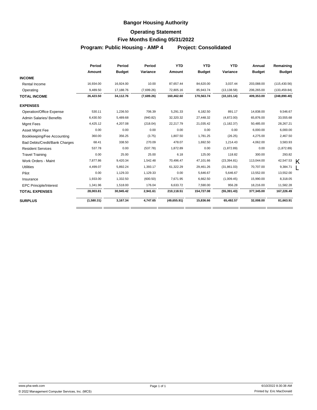#### **Operating Statement**

#### **Five Months Ending 05/31/2022**

**Program: Public Housing - AMP 4 Project: Consolidated**

|                                 | Period     | Period        | Period     | <b>YTD</b>   | <b>YTD</b>    | <b>YTD</b>   | Annual        | Remaining     |
|---------------------------------|------------|---------------|------------|--------------|---------------|--------------|---------------|---------------|
|                                 | Amount     | <b>Budget</b> | Variance   | Amount       | <b>Budget</b> | Variance     | <b>Budget</b> | <b>Budget</b> |
| <b>INCOME</b>                   |            |               |            |              |               |              |               |               |
| Rental Income                   | 16,934.00  | 16,924.00     | 10.00      | 87,657.44    | 84,620.00     | 3,037.44     | 203,088.00    | (115, 430.56) |
| Operating                       | 9,489.50   | 17,188.76     | (7,699.26) | 72,805.16    | 85,943.74     | (13, 138.58) | 206,265.00    | (133, 459.84) |
| <b>TOTAL INCOME</b>             | 26,423.50  | 34,112.76     | (7,689.26) | 160,462.60   | 170,563.74    | (10, 101.14) | 409,353.00    | (248, 890.40) |
| <b>EXPENSES</b>                 |            |               |            |              |               |              |               |               |
| <b>Operation/Office Expense</b> | 530.11     | 1,236.50      | 706.39     | 5,291.33     | 6,182.50      | 891.17       | 14,838.00     | 9,546.67      |
| <b>Admin Salaries/ Benefits</b> | 6,430.50   | 5,489.68      | (940.82)   | 32,320.32    | 27,448.32     | (4,872.00)   | 65,876.00     | 33,555.68     |
| <b>Mamt Fees</b>                | 4,425.12   | 4,207.08      | (218.04)   | 22,217.79    | 21,035.42     | (1, 182.37)  | 50,485.00     | 28,267.21     |
| Asset Mgmt Fee                  | 0.00       | 0.00          | 0.00       | 0.00         | 0.00          | 0.00         | 6,000.00      | 6,000.00      |
| Bookkeeping/Fee Accounting      | 360.00     | 356.25        | (3.75)     | 1,807.50     | 1,781.25      | (26.25)      | 4,275.00      | 2,467.50      |
| Bad Debts/Credit/Bank Charges   | 68.41      | 338.50        | 270.09     | 478.07       | 1,692.50      | 1,214.43     | 4,062.00      | 3,583.93      |
| <b>Resident Services</b>        | 537.78     | 0.00          | (537.78)   | 1,872.89     | 0.00          | (1,872.89)   | 0.00          | (1,872.89)    |
| <b>Travel Training</b>          | 0.00       | 25.00         | 25.00      | 6.18         | 125.00        | 118.82       | 300.00        | 293.82        |
| Work Orders - Maint             | 7,877.86   | 9,420.34      | 1,542.48   | 70,496.47    | 47,101.66     | (23, 394.81) | 113.044.00    | 42,547.53     |
| <b>Utilities</b>                | 4,499.07   | 5,892.24      | 1,393.17   | 61,322.29    | 29,461.26     | (31, 861.03) | 70,707.00     | 9,384.71      |
| Pilot                           | 0.00       | 1,129.33      | 1,129.33   | 0.00         | 5,646.67      | 5,646.67     | 13,552.00     | 13,552.00     |
| Insurance                       | 1,933.00   | 1,332.50      | (600.50)   | 7,671.95     | 6,662.50      | (1,009.45)   | 15,990.00     | 8,318.05      |
| <b>EPC Principle/Interest</b>   | 1,341.96   | 1,518.00      | 176.04     | 6,633.72     | 7,590.00      | 956.28       | 18,216.00     | 11,582.28     |
| <b>TOTAL EXPENSES</b>           | 28,003.81  | 30,945.42     | 2,941.61   | 210,118.51   | 154,727.08    | (55, 391.43) | 377,345.00    | 167,226.49    |
| <b>SURPLUS</b>                  | (1,580.31) | 3,167.34      | 4,747.65   | (49, 655.91) | 15,836.66     | 65,492.57    | 32,008.00     | 81,663.91     |

K L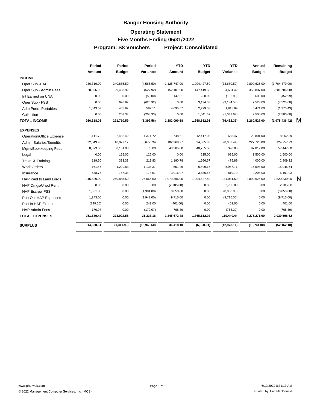## **Bangor Housing Authority Operating Statement**

# **Five Months Ending 05/31/2022**

**Program: S8 Vouchers Project: Consolidated**

|                                 | Period     | Period        | Period      | <b>YTD</b>   | <b>YTD</b>    | <b>YTD</b>   | Annual        | Remaining      |   |
|---------------------------------|------------|---------------|-------------|--------------|---------------|--------------|---------------|----------------|---|
|                                 | Amount     | <b>Budget</b> | Variance    | Amount       | <b>Budget</b> | Variance     | <b>Budget</b> | <b>Budget</b>  |   |
| <b>INCOME</b>                   |            |               |             |              |               |              |               |                |   |
| Oper Sub -HAP                   | 236,319.00 | 240,885.50    | (4,566.50)  | 1,125,747.00 | 1,204,427.50  | (78,680.50)  | 2,890,626.00  | (1,764,879.00) |   |
| Oper Sub - Admin Fees           | 28,956.00  | 29,483.92     | (527.92)    | 152,101.00   | 147,419.58    | 4,681.42     | 353,807.00    | (201, 706.00)  |   |
| Int Earned on UNA               | 0.00       | 50.00         | (50.00)     | 147.01       | 250.00        | (102.99)     | 600.00        | (452.99)       |   |
| Oper Sub - FSS                  | 0.00       | 626.92        | (626.92)    | 0.00         | 3,134.58      | (3, 134.58)  | 7,523.00      | (7,523.00)     |   |
| Adm Ports-Portables             | 1,043.03   | 455.92        | 587.11      | 4,095.57     | 2,279.58      | 1,815.99     | 5,471.00      | (1,375.43)     |   |
| Collection                      | 0.00       | 208.33        | (208.33)    | 0.00         | 1,041.67      | (1,041.67)   | 2,500.00      | (2,500.00)     |   |
| <b>TOTAL INCOME</b>             | 266,318.03 | 271,710.59    | (5,392.56)  | 1,282,090.58 | 1,358,552.91  | (76, 462.33) | 3,260,527.00  | (1,978,436.42) | м |
| <b>EXPENSES</b>                 |            |               |             |              |               |              |               |                |   |
| <b>Operation/Office Expense</b> | 1,111.70   | 2,483.42      | 1,371.72    | 11,748.61    | 12,417.08     | 668.47       | 29,801.00     | 18,052.39      |   |
| <b>Admin Salaries/Benefits</b>  | 22,649.93  | 18,977.17     | (3,672.76)  | 102,968.27   | 94,885.83     | (8,082.44)   | 227,726.00    | 124,757.73     |   |
| Mgmt/Bookkeeping Fees           | 8,073.00   | 8,151.00      | 78.00       | 40,365.00    | 40,755.00     | 390.00       | 97,812.00     | 57,447.00      |   |
| Legal                           | 0.00       | 125.00        | 125.00      | 0.00         | 625.00        | 625.00       | 1,500.00      | 1,500.00       |   |
| Travel & Training               | 119.50     | 333.33        | 213.83      | 1,190.78     | 1,666.67      | 475.89       | 4,000.00      | 2,809.22       |   |
| <b>Work Orders</b>              | 161.46     | 1,299.83      | 1,138.37    | 551.46       | 6,499.17      | 5,947.71     | 15,598.00     | 15,046.54      |   |
| Insurance                       | 588.76     | 767.33        | 178.57      | 3,016.97     | 3,836.67      | 819.70       | 9,208.00      | 6,191.03       |   |
| HAP Paid to Land Lords          | 215,820.00 | 240,885.50    | 25,065.50   | 1,070,396.00 | 1,204,427.50  | 134,031.50   | 2,890,626.00  | 1,820,230.00   | N |
| HAP Dmgs/Unpd Rent              | 0.00       | 0.00          | 0.00        | (2,705.00)   | 0.00          | 2,705.00     | 0.00          | 2,705.00       |   |
| <b>HAP Escrow FSS</b>           | 1,301.00   | 0.00          | (1,301.00)  | 8,058.00     | 0.00          | (8,058.00)   | 0.00          | (8,058.00)     |   |
| Port Out HAP Expenses           | 1,943.00   | 0.00          | (1,943.00)  | 9,715.00     | 0.00          | (9,715.00)   | 0.00          | (9,715.00)     |   |
| Port In HAP Expense             | (249.00)   | 0.00          | 249.00      | (401.00)     | 0.00          | 401.00       | 0.00          | 401.00         |   |
| <b>HAP Admin Fees</b>           | 170.07     | 0.00          | (170.07)    | 768.39       | 0.00          | (768.39)     | 0.00          | (768.39)       |   |
| <b>TOTAL EXPENSES</b>           | 251,689.42 | 273,022.58    | 21,333.16   | 1,245,672.48 | 1,365,112.92  | 119,440.44   | 3,276,271.00  | 2,030,598.52   |   |
| <b>SURPLUS</b>                  | 14,628.61  | (1,311.99)    | (15,940.60) | 36,418.10    | (6,560.01)    | (42, 978.11) | (15,744.00)   | (52, 162.10)   |   |
|                                 |            |               |             |              |               |              |               |                |   |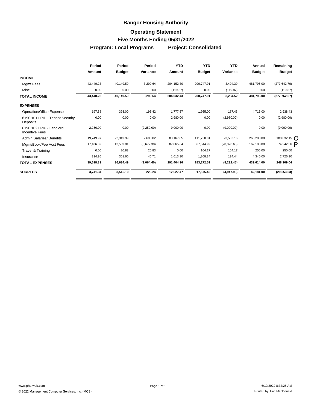#### **Operating Statement**

#### **Five Months Ending 05/31/2022**

**Program: Local Programs Project: Consolidated**

|                                                   | Period    | Period        | Period     | <b>YTD</b> | <b>YTD</b>    | <b>YTD</b>   | Annual        | Remaining            |
|---------------------------------------------------|-----------|---------------|------------|------------|---------------|--------------|---------------|----------------------|
|                                                   | Amount    | <b>Budget</b> | Variance   | Amount     | <b>Budget</b> | Variance     | <b>Budget</b> | <b>Budget</b>        |
| <b>INCOME</b>                                     |           |               |            |            |               |              |               |                      |
| Mgmt Fees                                         | 43,440.23 | 40,149.59     | 3,290.64   | 204,152.30 | 200,747.91    | 3,404.39     | 481,795.00    | (277, 642.70)        |
| Misc                                              | 0.00      | 0.00          | 0.00       | (119.87)   | 0.00          | (119.87)     | 0.00          | (119.87)             |
| <b>TOTAL INCOME</b>                               | 43,440.23 | 40,149.59     | 3,290.64   | 204,032.43 | 200.747.91    | 3,284.52     | 481,795.00    | (277, 762.57)        |
| <b>EXPENSES</b>                                   |           |               |            |            |               |              |               |                      |
| Operation/Office Expense                          | 197.58    | 393.00        | 195.42     | 1.777.57   | 1,965.00      | 187.43       | 4,716.00      | 2,938.43             |
| 6190.101 LPIP - Tenant Security<br>Deposits       | 0.00      | 0.00          | 0.00       | 2,980.00   | 0.00          | (2,980.00)   | 0.00          | (2,980.00)           |
| 6190.102 LPIP - Landlord<br><b>Incentive Fees</b> | 2,250.00  | 0.00          | (2,250.00) | 9,000.00   | 0.00          | (9,000.00)   | 0.00          | (9,000.00)           |
| <b>Admin Salaries/ Benefits</b>                   | 19.749.97 | 22,349.99     | 2,600.02   | 88.167.85  | 111.750.01    | 23.582.16    | 268,200.00    | 180,032.15 $\bigcap$ |
| Mgmt/Book/Fee Acct Fees                           | 17,186.39 | 13,509.01     | (3,677.38) | 87,865.64  | 67,544.99     | (20, 320.65) | 162,108.00    | 74,242.36 P          |
| Travel & Training                                 | 0.00      | 20.83         | 20.83      | 0.00       | 104.17        | 104.17       | 250.00        | 250.00               |
| Insurance                                         | 314.95    | 361.66        | 46.71      | 1.613.90   | 1,808.34      | 194.44       | 4,340.00      | 2,726.10             |
| <b>TOTAL EXPENSES</b>                             | 39,698.89 | 36,634.49     | (3,064.40) | 191,404.96 | 183,172.51    | (8, 232.45)  | 439,614.00    | 248,209.04           |
| <b>SURPLUS</b>                                    | 3,741.34  | 3,515.10      | 226.24     | 12,627.47  | 17,575.40     | (4,947.93)   | 42,181.00     | (29, 553.53)         |
|                                                   |           |               |            |            |               |              |               |                      |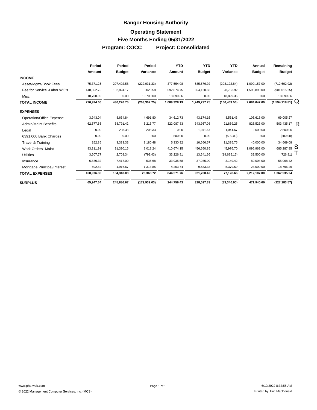## **Bangor Housing Authority Operating Statement Five Months Ending 05/31/2022 Program: COCC Project: Consolidated**

|                              | Period     | Period        | Period        | <b>YTD</b>    | <b>YTD</b>    | <b>YTD</b>    | Annual        | Remaining               |  |
|------------------------------|------------|---------------|---------------|---------------|---------------|---------------|---------------|-------------------------|--|
|                              | Amount     | <b>Budget</b> | Variance      | <b>Amount</b> | <b>Budget</b> | Variance      | <b>Budget</b> | <b>Budget</b>           |  |
| <b>INCOME</b>                |            |               |               |               |               |               |               |                         |  |
| Asset/Mgmt/Book Fees         | 75,371.25  | 297,402.58    | (222, 031.33) | 377,554.08    | 585,676.92    | (208, 122.84) | 1,090,157.00  | (712, 602.92)           |  |
| Fee for Service - Labor WO's | 140,852.75 | 132,824.17    | 8,028.58      | 692,874.75    | 664,120.83    | 28,753.92     | 1,593,890.00  | (901, 015.25)           |  |
| Misc                         | 10,700.00  | 0.00          | 10,700.00     | 18,899.36     | 0.00          | 18,899.36     | 0.00          | 18,899.36               |  |
| <b>TOTAL INCOME</b>          | 226,924.00 | 430,226.75    | (203, 302.75) | 1,089,328.19  | 1,249,797.75  | (160, 469.56) | 2,684,047.00  | (1,594,718.81)          |  |
| <b>EXPENSES</b>              |            |               |               |               |               |               |               |                         |  |
| Operation/Office Expense     | 3,943.04   | 8,634.84      | 4,691.80      | 34,612.73     | 43.174.16     | 8,561.43      | 103,618.00    | 69,005.27               |  |
| <b>Admin/Maint Benefits</b>  | 62,577.65  | 68,791.42     | 6,213.77      | 322,087.83    | 343,957.08    | 21,869.25     | 825,523.00    | 503,435.17 $\mathsf{R}$ |  |
| Legal                        | 0.00       | 208.33        | 208.33        | 0.00          | 1,041.67      | 1,041.67      | 2,500.00      | 2,500.00                |  |
| 6391.000 Bank Charges        | 0.00       | 0.00          | 0.00          | 500.00        | 0.00          | (500.00)      | 0.00          | (500.00)                |  |
| Travel & Training            | 152.85     | 3,333.33      | 3,180.48      | 5,330.92      | 16,666.67     | 11,335.75     | 40,000.00     | 34,669.08               |  |
| <b>Work Orders -Maint</b>    | 83,311.91  | 91,330.15     | 8,018.24      | 410,674.15    | 456,650.85    | 45,976.70     | 1,095,962.00  | $685,287.85$ S          |  |
| <b>Utilities</b>             | 3,507.77   | 2,708.34      | (799.43)      | 33,226.81     | 13,541.66     | (19,685.15)   | 32,500.00     | (726.81)                |  |
| Insurance                    | 6,880.32   | 7,417.00      | 536.68        | 33,935.58     | 37,085.00     | 3,149.42      | 89,004.00     | 55,068.42               |  |
| Mortgage Principal/Interest  | 602.82     | 1,916.67      | 1,313.85      | 4,203.74      | 9,583.33      | 5,379.59      | 23,000.00     | 18,796.26               |  |
| <b>TOTAL EXPENSES</b>        | 160,976.36 | 184,340.08    | 23,363.72     | 844,571.76    | 921,700.42    | 77,128.66     | 2,212,107.00  | 1,367,535.24            |  |
| <b>SURPLUS</b>               | 65,947.64  | 245,886.67    | (179, 939.03) | 244,756.43    | 328,097.33    | (83,340.90)   | 471,940.00    | (227, 183.57)           |  |
|                              |            |               |               |               |               |               |               |                         |  |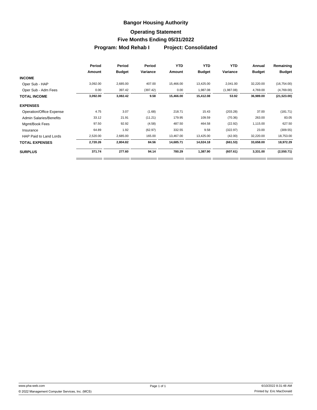#### **Operating Statement**

#### **Five Months Ending 05/31/2022**

**Program: Mod Rehab I Project: Consolidated**

|                                | Period   | Period        | Period   | <b>YTD</b> | <b>YTD</b>    | <b>YTD</b> | Annual        | Remaining     |
|--------------------------------|----------|---------------|----------|------------|---------------|------------|---------------|---------------|
|                                | Amount   | <b>Budget</b> | Variance | Amount     | <b>Budget</b> | Variance   | <b>Budget</b> | <b>Budget</b> |
| <b>INCOME</b>                  |          |               |          |            |               |            |               |               |
| Oper Sub - HAP                 | 3,092.00 | 2,685.00      | 407.00   | 15,466.00  | 13,425.00     | 2,041.00   | 32,220.00     | (16, 754.00)  |
| Oper Sub - Adm Fees            | 0.00     | 397.42        | (397.42) | 0.00       | 1,987.08      | (1,987.08) | 4,769.00      | (4,769.00)    |
| TOTAL INCOME                   | 3,092.00 | 3,082.42      | 9.58     | 15,466.00  | 15,412.08     | 53.92      | 36,989.00     | (21, 523.00)  |
| <b>EXPENSES</b>                |          |               |          |            |               |            |               |               |
| Operation/Office Expense       | 4.75     | 3.07          | (1.68)   | 218.71     | 15.43         | (203.28)   | 37.00         | (181.71)      |
| <b>Admin Salaries/Benefits</b> | 33.12    | 21.91         | (11.21)  | 179.95     | 109.59        | (70.36)    | 263.00        | 83.05         |
| Mgmt/Book Fees                 | 97.50    | 92.92         | (4.58)   | 487.50     | 464.58        | (22.92)    | 1,115.00      | 627.50        |
| Insurance                      | 64.89    | 1.92          | (62.97)  | 332.55     | 9.58          | (322.97)   | 23.00         | (309.55)      |
| HAP Paid to Land Lords         | 2,520.00 | 2,685.00      | 165.00   | 13,467.00  | 13,425.00     | (42.00)    | 32,220.00     | 18,753.00     |
| <b>TOTAL EXPENSES</b>          | 2,720.26 | 2,804.82      | 84.56    | 14,685.71  | 14,024.18     | (661.53)   | 33,658.00     | 18,972.29     |
| <b>SURPLUS</b>                 | 371.74   | 277.60        | 94.14    | 780.29     | 1,387.90      | (607.61)   | 3,331.00      | (2,550.71)    |